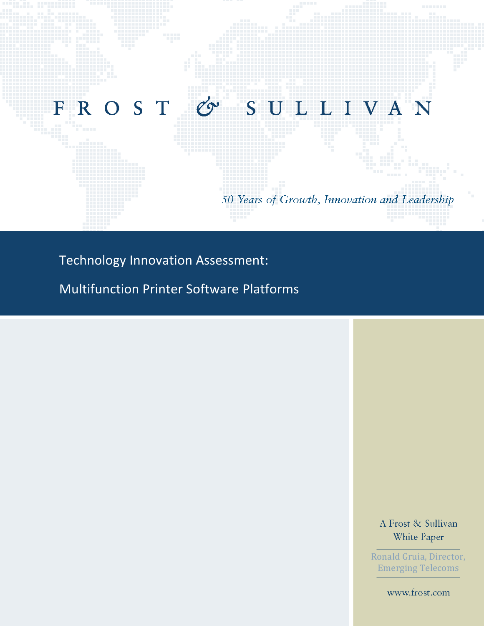

Technology Innovation Assessment:

Multifunction Printer Software Platforms

A Frost & Sullivan White Paper

Ronald Gruia, Director, Emerging Telecoms

www.frost.com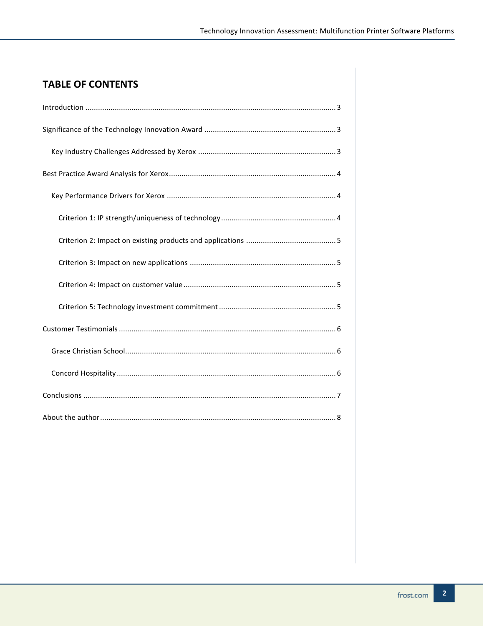# **TABLE OF CONTENTS**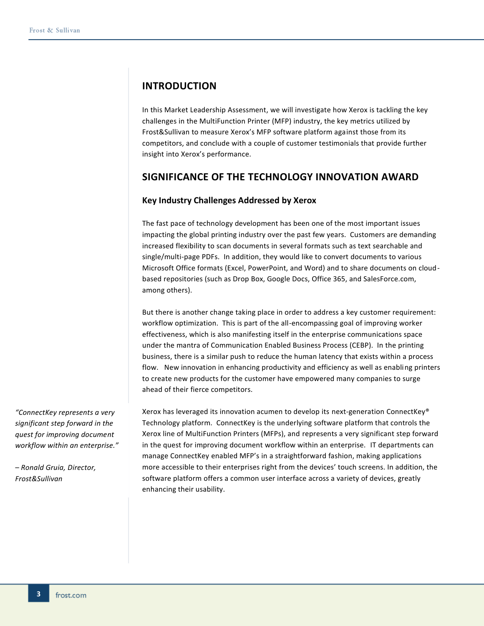## <span id="page-2-0"></span>**INTRODUCTION**

In this Market Leadership Assessment, we will investigate how Xerox is tackling the key challenges in the MultiFunction Printer (MFP) industry, the key metrics utilized by Frost&Sullivan to measure Xerox's MFP software platform against those from its competitors, and conclude with a couple of customer testimonials that provide further insight into Xerox's performance.

## <span id="page-2-1"></span>**SIGNIFICANCE OF THE TECHNOLOGY INNOVATION AWARD**

### <span id="page-2-2"></span>**Key Industry Challenges Addressed by Xerox**

The fast pace of technology development has been one of the most important issues impacting the global printing industry over the past few years. Customers are demanding increased flexibility to scan documents in several formats such as text searchable and single/multi-page PDFs. In addition, they would like to convert documents to various Microsoft Office formats (Excel, PowerPoint, and Word) and to share documents on cloudbased repositories (such as Drop Box, Google Docs, Office 365, and SalesForce.com, among others).

But there is another change taking place in order to address a key customer requirement: workflow optimization. This is part of the all-encompassing goal of improving worker effectiveness, which is also manifesting itself in the enterprise communications space under the mantra of Communication Enabled Business Process (CEBP). In the printing business, there is a similar push to reduce the human latency that exists within a process flow. New innovation in enhancing productivity and efficiency as well as enabling printers to create new products for the customer have empowered many companies to surge ahead of their fierce competitors.

Xerox has leveraged its innovation acumen to develop its next-generation ConnectKey® Technology platform. ConnectKey is the underlying software platform that controls the Xerox line of MultiFunction Printers (MFPs), and represents a very significant step forward in the quest for improving document workflow within an enterprise. IT departments can manage ConnectKey enabled MFP's in a straightforward fashion, making applications more accessible to their enterprises right from the devices' touch screens. In addition, the software platform offers a common user interface across a variety of devices, greatly enhancing their usability.

*"ConnectKey represents a very significant step forward in the quest for improving document workflow within an enterprise."*

*– Ronald Gruia, Director, Frost&Sullivan*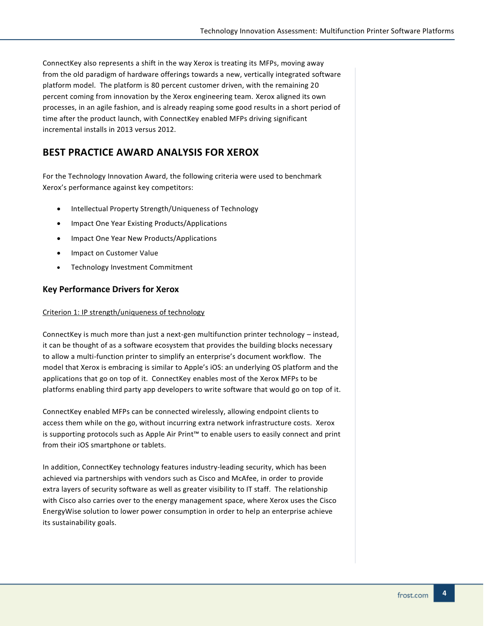ConnectKey also represents a shift in the way Xerox is treating its MFPs, moving away from the old paradigm of hardware offerings towards a new, vertically integrated software platform model. The platform is 80 percent customer driven, with the remaining 20 percent coming from innovation by the Xerox engineering team. Xerox aligned its own processes, in an agile fashion, and is already reaping some good results in a short period of time after the product launch, with ConnectKey enabled MFPs driving significant incremental installs in 2013 versus 2012.

## <span id="page-3-0"></span>**BEST PRACTICE AWARD ANALYSIS FOR XEROX**

For the Technology Innovation Award, the following criteria were used to benchmark Xerox's performance against key competitors:

- Intellectual Property Strength/Uniqueness of Technology
- Impact One Year Existing Products/Applications
- Impact One Year New Products/Applications
- Impact on Customer Value
- Technology Investment Commitment

### <span id="page-3-1"></span>**Key Performance Drivers for Xerox**

#### <span id="page-3-2"></span>Criterion 1: IP strength/uniqueness of technology

ConnectKey is much more than just a next-gen multifunction printer technology – instead, it can be thought of as a software ecosystem that provides the building blocks necessary to allow a multi-function printer to simplify an enterprise's document workflow. The model that Xerox is embracing is similar to Apple's iOS: an underlying OS platform and the applications that go on top of it. ConnectKey enables most of the Xerox MFPs to be platforms enabling third party app developers to write software that would go on top of it.

ConnectKey enabled MFPs can be connected wirelessly, allowing endpoint clients to access them while on the go, without incurring extra network infrastructure costs. Xerox is supporting protocols such as Apple Air Print™ to enable users to easily connect and print from their iOS smartphone or tablets.

In addition, ConnectKey technology features industry-leading security, which has been achieved via partnerships with vendors such as Cisco and McAfee, in order to provide extra layers of security software as well as greater visibility to IT staff. The relationship with Cisco also carries over to the energy management space, where Xerox uses the Cisco EnergyWise solution to lower power consumption in order to help an enterprise achieve its sustainability goals.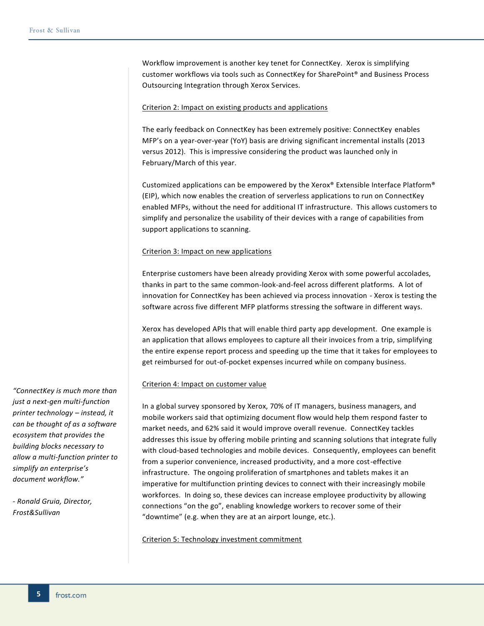Workflow improvement is another key tenet for ConnectKey. Xerox is simplifying customer workflows via tools such as ConnectKey for SharePoint® and Business Process Outsourcing Integration through Xerox Services.

#### <span id="page-4-0"></span>Criterion 2: Impact on existing products and applications

The early feedback on ConnectKey has been extremely positive: ConnectKey enables MFP's on a year-over-year (YoY) basis are driving significant incremental installs (2013 versus 2012). This is impressive considering the product was launched only in February/March of this year.

Customized applications can be empowered by the Xerox® Extensible Interface Platform® (EIP), which now enables the creation of serverless applications to run on ConnectKey enabled MFPs, without the need for additional IT infrastructure. This allows customers to simplify and personalize the usability of their devices with a range of capabilities from support applications to scanning.

#### <span id="page-4-1"></span>Criterion 3: Impact on new applications

Enterprise customers have been already providing Xerox with some powerful accolades, thanks in part to the same common-look-and-feel across different platforms. A lot of innovation for ConnectKey has been achieved via process innovation - Xerox is testing the software across five different MFP platforms stressing the software in different ways.

Xerox has developed APIs that will enable third party app development. One example is an application that allows employees to capture all their invoices from a trip, simplifying the entire expense report process and speeding up the time that it takes for employees to get reimbursed for out-of-pocket expenses incurred while on company business.

#### <span id="page-4-2"></span>Criterion 4: Impact on customer value

In a global survey sponsored by Xerox, 70% of IT managers, business managers, and mobile workers said that optimizing document flow would help them respond faster to market needs, and 62% said it would improve overall revenue. ConnectKey tackles addresses this issue by offering mobile printing and scanning solutions that integrate fully with cloud-based technologies and mobile devices. Consequently, employees can benefit from a superior convenience, increased productivity, and a more cost-effective infrastructure. The ongoing proliferation of smartphones and tablets makes it an imperative for multifunction printing devices to connect with their increasingly mobile workforces. In doing so, these devices can increase employee productivity by allowing connections "on the go", enabling knowledge workers to recover some of their "downtime" (e.g. when they are at an airport lounge, etc.).

<span id="page-4-3"></span>Criterion 5: Technology investment commitment

*"ConnectKey is much more than just a next-gen multi-function printer technology – instead, it can be thought of as a software ecosystem that provides the building blocks necessary to allow a multi-function printer to simplify an enterprise's document workflow."*

*- Ronald Gruia, Director, Frost&Sullivan*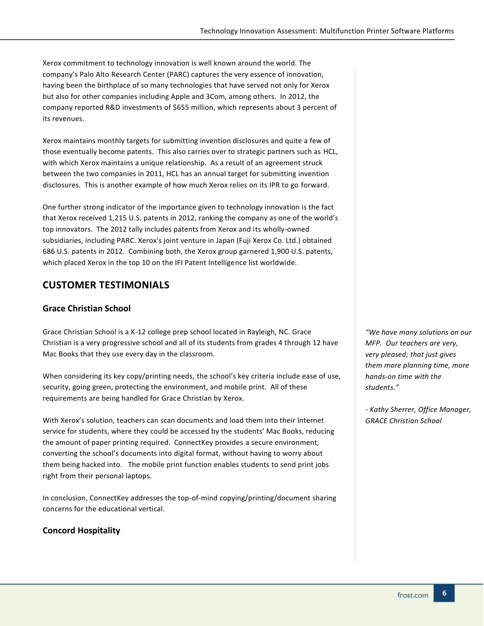Xerox commitment to technology innovation is well known around the world. The company's Palo Alto Research Center (PARC) captures the very essence of innovation, having been the birthplace of so many technologies that have served not only for Xerox but also for other companies including Apple and 3Com, among others. In 2012, the company reported R&D investments of \$655 million, which represents about 3 percent of its revenues.

Xerox maintains monthly targets for submitting invention disclosures and quite a few of those eventually become patents. This also carries over to strategic partners such as HCL, with which Xerox maintains a unique relationship. As a result of an agreement struck between the two companies in 2011, HCL has an annual target for submitting invention disclosures. This is another example of how much Xerox relies on its IPR to go forward.

One further strong indicator of the importance given to technology innovation is the fact that Xerox received 1,215 U.S. patents in 2012, ranking the company as one of the world's top innovators. The 2012 tally includes patents from Xerox and its wholly-owned subsidiaries, including PARC. Xerox's joint venture in Japan (Fuji Xerox Co. Ltd.) obtained 686 U.S. patents in 2012. Combining both, the Xerox group garnered 1,900 U.S. patents, which placed Xerox in the top 10 on the IFI Patent Intelligence list worldwide.

## <span id="page-5-0"></span>**CUSTOMER TESTIMONIALS**

### <span id="page-5-1"></span>**Grace Christian School**

Grace Christian School is a K-12 college prep school located in Rayleigh, NC. Grace Christian is a very progressive school and all of its students from grades 4 through 12 have Mac Books that they use every day in the classroom.

When considering its key copy/printing needs, the school's key criteria include ease of use, security, going green, protecting the environment, and mobile print. All of these requirements are being handled for Grace Christian by Xerox.

With Xerox's solution, teachers can scan documents and load them into their Internet service for students, where they could be accessed by the students' Mac Books, reducing the amount of paper printing required. ConnectKey provides a secure environment, converting the school's documents into digital format, without having to worry about them being hacked into. The mobile print function enables students to send print jobs right from their personal laptops.

In conclusion, ConnectKey addresses the top-of-mind copying/printing/document sharing concerns for the educational vertical.

### <span id="page-5-2"></span>**Concord Hospitality**

*"We have many solutions on our MFP. Our teachers are very, very pleased; that just gives them more planning time, more hands-on time with the students."*

*- Kathy Sherrer, Office Manager, GRACE Christian School*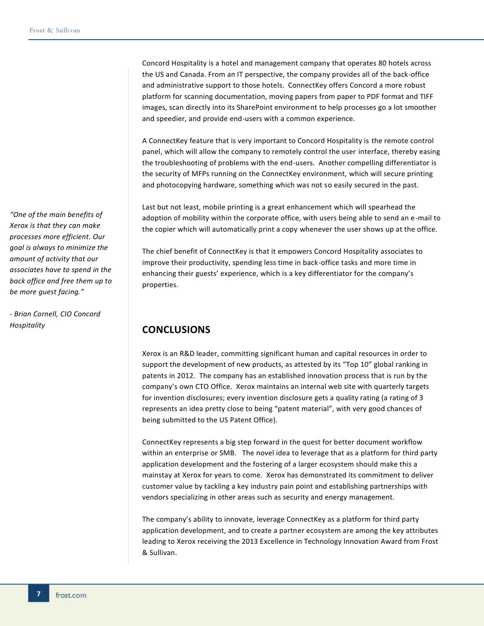Concord Hospitality is a hotel and management company that operates 80 hotels across the US and Canada. From an IT perspective, the company provides all of the back-office and administrative support to those hotels. ConnectKey offers Concord a more robust platform for scanning documentation, moving papers from paper to PDF format and TIFF images, scan directly into its SharePoint environment to help processes go a lot smoother and speedier, and provide end-users with a common experience.

A ConnectKey feature that is very important to Concord Hospitality is the remote control panel, which will allow the company to remotely control the user interface, thereby easing the troubleshooting of problems with the end-users. Another compelling differentiator is the security of MFPs running on the ConnectKey environment, which will secure printing and photocopying hardware, something which was not so easily secured in the past.

Last but not least, mobile printing is a great enhancement which will spearhead the adoption of mobility within the corporate office, with users being able to send an e-mail to the copier which will automatically print a copy whenever the user shows up at the office.

The chief benefit of ConnectKey is that it empowers Concord Hospitality associates to improve their productivity, spending less time in back-office tasks and more time in enhancing their guests' experience, which is a key differentiator for the company's properties.

## <span id="page-6-0"></span>**CONCLUSIONS**

Xerox is an R&D leader, committing significant human and capital resources in order to support the development of new products, as attested by its "Top 10" global ranking in patents in 2012. The company has an established innovation process that is run by the company's own CTO Office. Xerox maintains an internal web site with quarterly targets for invention disclosures; every invention disclosure gets a quality rating (a rating of 3 represents an idea pretty close to being "patent material", with very good chances of being submitted to the US Patent Office).

ConnectKey represents a big step forward in the quest for better document workflow within an enterprise or SMB. The novel idea to leverage that as a platform for third party application development and the fostering of a larger ecosystem should make this a mainstay at Xerox for years to come. Xerox has demonstrated its commitment to deliver customer value by tackling a key industry pain point and establishing partnerships with vendors specializing in other areas such as security and energy management.

The company's ability to innovate, leverage ConnectKey as a platform for third party application development, and to create a partner ecosystem are among the key attributes leading to Xerox receiving the 2013 Excellence in Technology Innovation Award from Frost & Sullivan.

*"One of the main benefits of Xerox is that they can make processes more efficient. Our goal is always to minimize the amount of activity that our associates have to spend in the back office and free them up to be more guest facing."*

*- Brian Cornell, CIO Concord Hospitality*